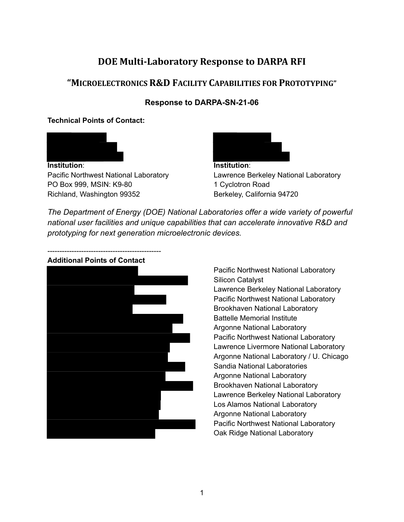#### **DOE Multi-Laboratory Response to DARPA RFI**

#### **"MICROELECTRONICS R&D FACILITY CAPABILITIES FOR PROTOTYPING"**

#### **Response to DARPA-SN-21-06**

#### **Technical Points of Contact:**



**Institution**: Pacific Northwest National Laboratory PO Box 999, MSIN: K9-80 Richland, Washington 99352



**Institution**: Lawrence Berkeley National Laboratory 1 Cyclotron Road Berkeley, California 94720

*The Department of Energy (DOE) National Laboratories offer a wide variety of powerful national user facilities and unique capabilities that can accelerate innovative R&D and prototyping for next generation microelectronic devices.*



Pacific Northwest National Laboratory Silicon Catalyst Lawrence Berkeley National Laboratory Pacific Northwest National Laboratory Brookhaven National Laboratory Battelle Memorial Institute Argonne National Laboratory Pacific Northwest National Laboratory Lawrence Livermore National Laboratory Argonne National Laboratory / U. Chicago Sandia National Laboratories Argonne National Laboratory Brookhaven National Laboratory Lawrence Berkeley National Laboratory Los Alamos National Laboratory Argonne National Laboratory Pacific Northwest National Laboratory Oak Ridge National Laboratory

#### **Additional Points of Contact**

-----------------------------------------------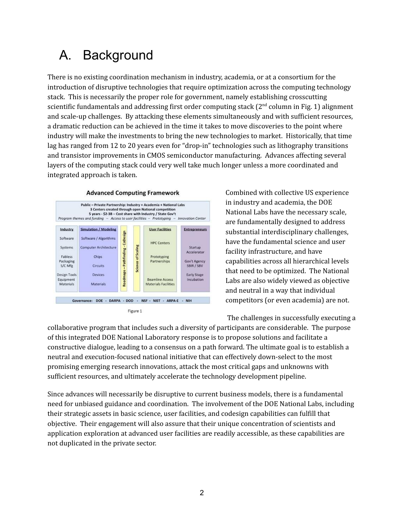# A. Background

There is no existing coordination mechanism in industry, academia, or at a consortium for the introduction of disruptive technologies that require optimization across the computing technology stack. This is necessarily the proper role for government, namely establishing crosscutting scientific fundamentals and addressing first order computing stack  $(2^{nd}$  column in Fig. 1) alignment and scale-up challenges. By attacking these elements simultaneously and with sufficient resources, a dramatic reduction can be achieved in the time it takes to move discoveries to the point where industry will make the investments to bring the new technologies to market. Historically, that time lag has ranged from 12 to 20 years even for "drop-in" technologies such as lithography transitions and transistor improvements in CMOS semiconductor manufacturing. Advances affecting several layers of the computing stack could very well take much longer unless a more coordinated and integrated approach is taken.



Figure 1

Combined with collective US experience in industry and academia, the DOE National Labs have the necessary scale, are fundamentally designed to address substantial interdisciplinary challenges, have the fundamental science and user facility infrastructure, and have capabilities across all hierarchical levels that need to be optimized. The National Labs are also widely viewed as objective and neutral in a way that individual competitors (or even academia) are not.

The challenges in successfully executing a

collaborative program that includes such a diversity of participants are considerable. The purpose of this integrated DOE National Laboratory response is to propose solutions and facilitate a constructive dialogue, leading to a consensus on a path forward. The ultimate goal is to establish a neutral and execution-focused national initiative that can effectively down-select to the most promising emerging research innovations, attack the most critical gaps and unknowns with sufficient resources, and ultimately accelerate the technology development pipeline.

Since advances will necessarily be disruptive to current business models, there is a fundamental need for unbiased guidance and coordination. The involvement of the DOE National Labs, including their strategic assets in basic science, user facilities, and codesign capabilities can fulfill that objective. Their engagement will also assure that their unique concentration of scientists and application exploration at advanced user facilities are readily accessible, as these capabilities are not duplicated in the private sector.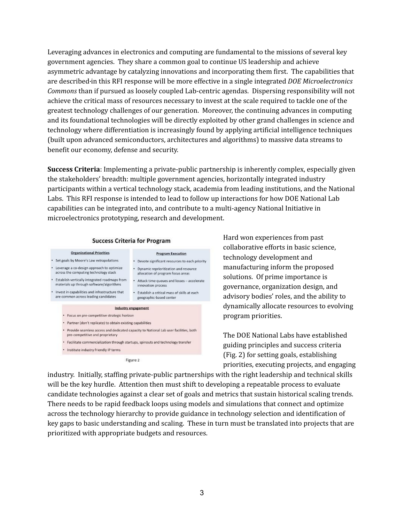Leveraging advances in electronics and computing are fundamental to the missions of several key government agencies. They share a common goal to continue US leadership and achieve asymmetric advantage by catalyzing innovations and incorporating them first. The capabilities that are described in this RFI response will be more effective in a single integrated *DOE Microelectronics Commons* than if pursued as loosely coupled Lab-centric agendas. Dispersing responsibility will not achieve the critical mass of resources necessary to invest at the scale required to tackle one of the greatest technology challenges of our generation. Moreover, the continuing advances in computing and its foundational technologies will be directly exploited by other grand challenges in science and technology where differentiation is increasingly found by applying artificial intelligence techniques (built upon advanced semiconductors, architectures and algorithms) to massive data streams to benefit our economy, defense and security.

**Success Criteria**: Implementing a private-public partnership is inherently complex, especially given the stakeholders' breadth: multiple government agencies, horizontally integrated industry participants within a vertical technology stack, academia from leading institutions, and the National Labs. This RFI response is intended to lead to follow up interactions for how DOE National Lab capabilities can be integrated into, and contribute to a multi-agency National Initiative in microelectronics prototyping, research and development.



**Success Criteria for Program** 

Hard won experiences from past collaborative efforts in basic science, technology development and manufacturing inform the proposed solutions. Of prime importance is governance, organization design, and advisory bodies' roles, and the ability to dynamically allocate resources to evolving program priorities.

The DOE National Labs have established guiding principles and success criteria (Fig. 2) for setting goals, establishing priorities, executing projects, and engaging

industry. Initially, staffing private-public partnerships with the right leadership and technical skills will be the key hurdle. Attention then must shift to developing a repeatable process to evaluate candidate technologies against a clear set of goals and metrics that sustain historical scaling trends. There needs to be rapid feedback loops using models and simulations that connect and optimize across the technology hierarchy to provide guidance in technology selection and identification of key gaps to basic understanding and scaling. These in turn must be translated into projects that are prioritized with appropriate budgets and resources.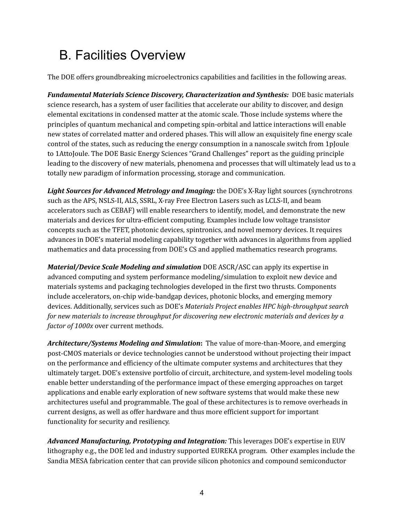# B. Facilities Overview

The DOE offers groundbreaking microelectronics capabilities and facilities in the following areas.

*Fundamental Materials Science Discovery, Characterization and Synthesis:* DOE basic materials science research, has a system of user facilities that accelerate our ability to discover, and design elemental excitations in condensed matter at the atomic scale. Those include systems where the principles of quantum mechanical and competing spin-orbital and lattice interactions will enable new states of correlated matter and ordered phases. This will allow an exquisitely fine energy scale control of the states, such as reducing the energy consumption in a nanoscale switch from 1pJoule to 1AttoJoule. The DOE Basic Energy Sciences "Grand Challenges" report as the guiding principle leading to the discovery of new materials, phenomena and processes that will ultimately lead us to a totally new paradigm of information processing, storage and communication.

*Light Sources for Advanced Metrology and Imaging:* the DOE's X-Ray light sources (synchrotrons such as the APS, NSLS-II, ALS, SSRL, X-ray Free Electron Lasers such as LCLS-II, and beam accelerators such as CEBAF) will enable researchers to identify, model, and demonstrate the new materials and devices for ultra-efficient computing. Examples include low voltage transistor concepts such as the TFET, photonic devices, spintronics, and novel memory devices. It requires advances in DOE's material modeling capability together with advances in algorithms from applied mathematics and data processing from DOE's CS and applied mathematics research programs.

*Material/Device Scale Modeling and simulation* DOE ASCR/ASC can apply its expertise in advanced computing and system performance modeling/simulation to exploit new device and materials systems and packaging technologies developed in the first two thrusts. Components include accelerators, on-chip wide-bandgap devices, photonic blocks, and emerging memory devices. Additionally, services such as DOE's *Materials Project enables HPC high-throughput search for new materials to increase throughput for discovering new electronic materials and devices by a factor of 1000x* over current methods.

*Architecture/Systems Modeling and Simulation***:** The value of more-than-Moore, and emerging post-CMOS materials or device technologies cannot be understood without projecting their impact on the performance and efficiency of the ultimate computer systems and architectures that they ultimately target. DOE's extensive portfolio of circuit, architecture, and system-level modeling tools enable better understanding of the performance impact of these emerging approaches on target applications and enable early exploration of new software systems that would make these new architectures useful and programmable. The goal of these architectures is to remove overheads in current designs, as well as offer hardware and thus more efficient support for important functionality for security and resiliency.

*Advanced Manufacturing, Prototyping and Integration:* This leverages DOE's expertise in EUV lithography e.g., the DOE led and industry supported EUREKA program. Other examples include the Sandia MESA fabrication center that can provide silicon photonics and compound semiconductor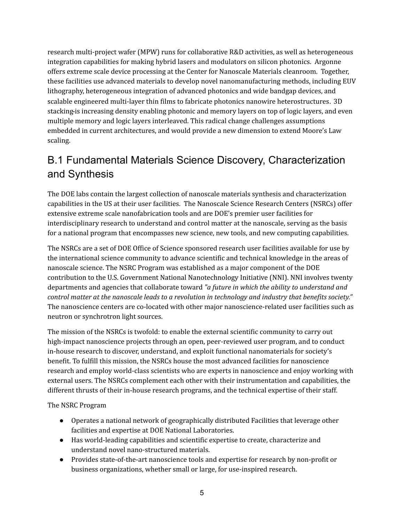research multi-project wafer (MPW) runs for collaborative R&D activities, as well as heterogeneous integration capabilities for making hybrid lasers and modulators on silicon photonics. Argonne offers extreme scale device processing at the Center for Nanoscale Materials cleanroom. Together, these facilities use advanced materials to develop novel nanomanufacturing methods, including EUV lithography, heterogeneous integration of advanced photonics and wide bandgap devices, and scalable engineered multi-layer thin films to fabricate photonics nanowire heterostructures. 3D stacking is increasing density enabling photonic and memory layers on top of logic layers, and even multiple memory and logic layers interleaved. This radical change challenges assumptions embedded in current architectures, and would provide a new dimension to extend Moore's Law scaling.

## B.1 Fundamental Materials Science Discovery, Characterization and Synthesis

The DOE labs contain the largest collection of nanoscale materials synthesis and characterization capabilities in the US at their user facilities. The Nanoscale Science Research Centers (NSRCs) offer extensive extreme scale nanofabrication tools and are DOE's premier user facilities for interdisciplinary research to understand and control matter at the nanoscale, serving as the basis for a national program that encompasses new science, new tools, and new computing capabilities.

The NSRCs are a set of DOE Office of Science sponsored research user facilities available for use by the international science community to advance scientific and technical knowledge in the areas of nanoscale science. The NSRC Program was established as a major component of the DOE contribution to the U.S. Government National Nanotechnology Initiative (NNI). NNI involves twenty departments and agencies that collaborate toward *"a future in which the ability to understand and control matter at the nanoscale leads to a revolution in technology and industry that benefits society."* The nanoscience centers are co-located with other major nanoscience-related user facilities such as neutron or synchrotron light sources.

The mission of the NSRCs is twofold: to enable the external scientific community to carry out high-impact nanoscience projects through an open, peer-reviewed user program, and to conduct in-house research to discover, understand, and exploit functional nanomaterials for society's benefit. To fulfill this mission, the NSRCs house the most advanced facilities for nanoscience research and employ world-class scientists who are experts in nanoscience and enjoy working with external users. The NSRCs complement each other with their instrumentation and capabilities, the different thrusts of their in-house research programs, and the technical expertise of their staff.

The NSRC Program

- Operates a national network of geographically distributed Facilities that leverage other facilities and expertise at DOE National Laboratories.
- Has world-leading capabilities and scientific expertise to create, characterize and understand novel nano-structured materials.
- Provides state-of-the-art nanoscience tools and expertise for research by non-profit or business organizations, whether small or large, for use-inspired research.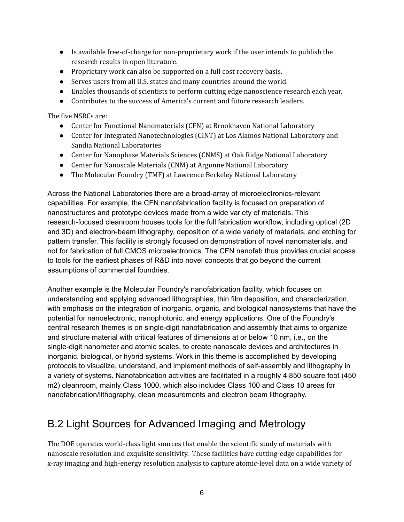- Is available free-of-charge for non-proprietary work if the user intends to publish the research results in open literature.
- Proprietary work can also be supported on a full cost recovery basis.
- Serves users from all U.S. states and many countries around the world.
- Enables thousands of scientists to perform cutting edge nanoscience research each year.
- Contributes to the success of America's current and future research leaders.

The five NSRCs are:

- Center for Functional Nanomaterials (CFN) at Brookhaven National Laboratory
- Center for Integrated Nanotechnologies (CINT) at Los Alamos National Laboratory and Sandia National Laboratories
- Center for Nanophase Materials Sciences (CNMS) at Oak Ridge National Laboratory
- Center for Nanoscale Materials (CNM) at Argonne National Laboratory
- The Molecular Foundry (TMF) at Lawrence Berkeley National Laboratory

Across the National Laboratories there are a broad-array of microelectronics-relevant capabilities. For example, the CFN nanofabrication facility is focused on preparation of nanostructures and prototype devices made from a wide variety of materials. This research-focused cleanroom houses tools for the full fabrication workflow, including optical (2D and 3D) and electron-beam lithography, deposition of a wide variety of materials, and etching for pattern transfer. This facility is strongly focused on demonstration of novel nanomaterials, and not for fabrication of full CMOS microelectronics. The CFN nanofab thus provides crucial access to tools for the earliest phases of R&D into novel concepts that go beyond the current assumptions of commercial foundries.

Another example is the Molecular Foundry's nanofabrication facility, which focuses on understanding and applying advanced lithographies, thin film deposition, and characterization, with emphasis on the integration of inorganic, organic, and biological nanosystems that have the potential for nanoelectronic, nanophotonic, and energy applications. One of the Foundry's central research themes is on single-digit nanofabrication and assembly that aims to organize and structure material with critical features of dimensions at or below 10 nm, i.e., on the single-digit nanometer and atomic scales, to create nanoscale devices and architectures in inorganic, biological, or hybrid systems. Work in this theme is accomplished by developing protocols to visualize, understand, and implement methods of self-assembly and lithography in a variety of systems. Nanofabrication activities are facilitated in a roughly 4,850 square foot (450 m2) cleanroom, mainly Class 1000, which also includes Class 100 and Class 10 areas for nanofabrication/lithography, clean measurements and electron beam lithography.

### B.2 Light Sources for Advanced Imaging and Metrology

The DOE operates world-class light sources that enable the scientific study of materials with nanoscale resolution and exquisite sensitivity. These facilities have cutting-edge capabilities for x-ray imaging and high-energy resolution analysis to capture atomic-level data on a wide variety of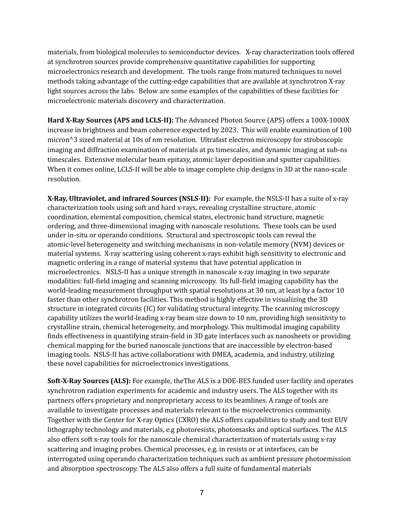materials, from biological molecules to semiconductor devices. X-ray characterization tools offered at synchrotron sources provide comprehensive quantitative capabilities for supporting microelectronics research and development. The tools range from matured techniques to novel methods taking advantage of the cutting-edge capabilities that are available at synchrotron X-ray light sources across the labs. Below are some examples of the capabilities of these facilities for microelectronic materials discovery and characterization.

**Hard X-Ray Sources (APS and LCLS-II):** The Advanced Photon Source (APS) offers a 100X-1000X increase in brightness and beam coherence expected by 2023. This will enable examination of 100 micron^3 sized material at 10s of nm resolution. Ultrafast electron microscopy for stroboscopic imaging and diffraction examination of materials at ps timescales, and dynamic imaging at sub-ns timescales. Extensive molecular beam epitaxy, atomic layer deposition and sputter capabilities. When it comes online, LCLS-II will be able to image complete chip designs in 3D at the nano-scale resolution.

**X-Ray, Ultraviolet, and infrared Sources (NSLS-II):** For example, the NSLS-II has a suite of x-ray characterization tools using soft and hard x-rays, revealing crystalline structure, atomic coordination, elemental composition, chemical states, electronic band structure, magnetic ordering, and three-dimensional imaging with nanoscale resolutions. These tools can be used under in-situ or operando conditions. Structural and spectroscopic tools can reveal the atomic-level heterogeneity and switching mechanisms in non-volatile memory (NVM) devices or material systems. X-ray scattering using coherent x-rays exhibit high sensitivity to electronic and magnetic ordering in a range of material systems that have potential application in microelectronics. NSLS-II has a unique strength in nanoscale x-ray imaging in two separate modalities: full-field imaging and scanning microscopy. Its full-field imaging capability has the world-leading measurement throughput with spatial resolutions at 30 nm, at least by a factor 10 faster than other synchrotron facilities. This method is highly effective in visualizing the 3D structure in integrated circuits (IC) for validating structural integrity. The scanning microscopy capability utilizes the world-leading x-ray beam size down to 10 nm, providing high sensitivity to crystalline strain, chemical heterogeneity, and morphology. This multimodal imaging capability finds effectiveness in quantifying strain-field in 3D gate interfaces such as nanosheets or providing chemical mapping for the buried nanoscale junctions that are inaccessible by electron-based imaging tools. NSLS-II has active collaborations with DMEA, academia, and industry, utilizing these novel capabilities for microelectronics investigations.

**Soft-X-Ray Sources (ALS):** For example, theThe ALS is a DOE-BES funded user facility and operates synchrotron radiation experiments for academic and industry users. The ALS together with its partners offers proprietary and nonproprietary access to its beamlines. A range of tools are available to investigate processes and materials relevant to the microelectronics community. Together with the Center for X-ray Optics (CXRO) the ALS offers capabilities to study and test EUV lithography technology and materials, e.g photoresists, photomasks and optical surfaces. The ALS also offers soft x-ray tools for the nanoscale chemical characterization of materials using x-ray scattering and imaging probes. Chemical processes, e.g. in resists or at interfaces, can be interrogated using operando characterization techniques such as ambient pressure photoemission and absorption spectroscopy. The ALS also offers a full suite of fundamental materials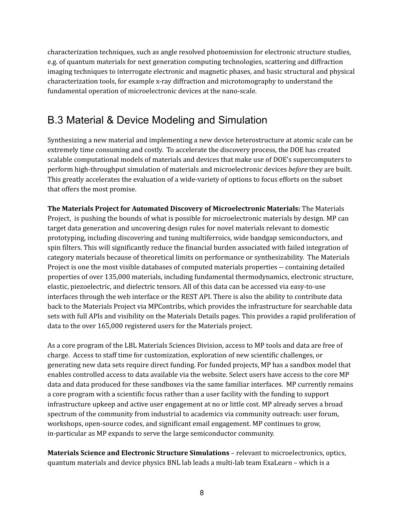characterization techniques, such as angle resolved photoemission for electronic structure studies, e.g. of quantum materials for next generation computing technologies, scattering and diffraction imaging techniques to interrogate electronic and magnetic phases, and basic structural and physical characterization tools, for example x-ray diffraction and microtomography to understand the fundamental operation of microelectronic devices at the nano-scale.

### B.3 Material & Device Modeling and Simulation

Synthesizing a new material and implementing a new device heterostructure at atomic scale can be extremely time consuming and costly. To accelerate the discovery process, the DOE has created scalable computational models of materials and devices that make use of DOE's supercomputers to perform high-throughput simulation of materials and microelectronic devices *before* they are built. This greatly accelerates the evaluation of a wide-variety of options to focus efforts on the subset that offers the most promise.

**The Materials Project for Automated Discovery of Microelectronic Materials:** The Materials Project, is pushing the bounds of what is possible for microelectronic materials by design. MP can target data generation and uncovering design rules for novel materials relevant to domestic prototyping, including discovering and tuning multiferroics, wide bandgap semiconductors, and spin filters. This will significantly reduce the financial burden associated with failed integration of category materials because of theoretical limits on performance or synthesizability. The Materials Project is one the most visible databases of computed materials properties -- containing detailed properties of over 135,000 materials, including fundamental thermodynamics, electronic structure, elastic, piezoelectric, and dielectric tensors. All of this data can be accessed via easy-to-use interfaces through the web interface or the REST API. There is also the ability to contribute data back to the Materials Project via MPContribs, which provides the infrastructure for searchable data sets with full APIs and visibility on the Materials Details pages. This provides a rapid proliferation of data to the over 165,000 registered users for the Materials project.

As a core program of the LBL Materials Sciences Division, access to MP tools and data are free of charge. Access to staff time for customization, exploration of new scientific challenges, or generating new data sets require direct funding. For funded projects, MP has a sandbox model that enables controlled access to data available via the website. Select users have access to the core MP data and data produced for these sandboxes via the same familiar interfaces. MP currently remains a core program with a scientific focus rather than a user facility with the funding to support infrastructure upkeep and active user engagement at no or little cost. MP already serves a broad spectrum of the community from industrial to academics via community outreach: user forum, workshops, open-source codes, and significant email engagement. MP continues to grow, in-particular as MP expands to serve the large semiconductor community.

**Materials Science and Electronic Structure Simulations** – relevant to microelectronics, optics, quantum materials and device physics BNL lab leads a multi-lab team ExaLearn – which is a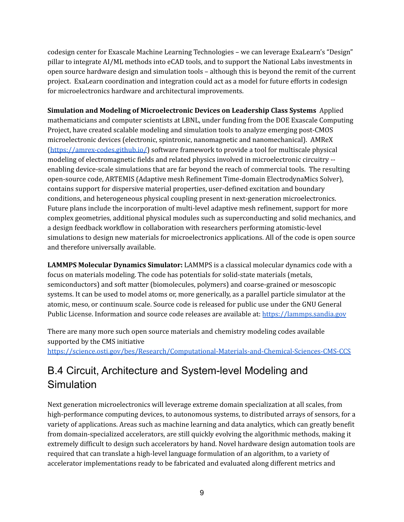codesign center for Exascale Machine Learning Technologies – we can leverage ExaLearn's "Design" pillar to integrate AI/ML methods into eCAD tools, and to support the National Labs investments in open source hardware design and simulation tools – although this is beyond the remit of the current project. ExaLearn coordination and integration could act as a model for future efforts in codesign for microelectronics hardware and architectural improvements.

**Simulation and Modeling of Microelectronic Devices on Leadership Class Systems** Applied mathematicians and computer scientists at LBNL, under funding from the DOE Exascale Computing Project, have created scalable modeling and simulation tools to analyze emerging post-CMOS microelectronic devices (electronic, spintronic, nanomagnetic and nanomechanical). AMReX (https://amrex-codes.github.io/) software framework to provide a tool for multiscale physical modeling of electromagnetic fields and related physics involved in microelectronic circuitry - enabling device-scale simulations that are far beyond the reach of commercial tools. The resulting open-source code, ARTEMIS (Adaptive mesh Refinement Time-domain ElectrodynaMics Solver), contains support for dispersive material properties, user-defined excitation and boundary conditions, and heterogeneous physical coupling present in next-generation microelectronics. Future plans include the incorporation of multi-level adaptive mesh refinement, support for more complex geometries, additional physical modules such as superconducting and solid mechanics, and a design feedback workflow in collaboration with researchers performing atomistic-level simulations to design new materials for microelectronics applications. All of the code is open source and therefore universally available.

**LAMMPS Molecular Dynamics Simulator:** LAMMPS is a classical molecular dynamics code with a focus on materials modeling. The code has potentials for solid-state materials (metals, semiconductors) and soft matter (biomolecules, polymers) and coarse-grained or mesoscopic systems. It can be used to model atoms or, more generically, as a parallel particle simulator at the atomic, meso, or continuum scale. Source code is released for public use under the GNU General Public License. Information and source code releases are available at: https://lammps.sandia.gov

There are many more such open source materials and chemistry modeling codes available supported by the CMS initiative

https://science.osti.gov/bes/Research/Computational-Materials-and-Chemical-Sciences-CMS-CCS

# B.4 Circuit, Architecture and System-level Modeling and Simulation

Next generation microelectronics will leverage extreme domain specialization at all scales, from high-performance computing devices, to autonomous systems, to distributed arrays of sensors, for a variety of applications. Areas such as machine learning and data analytics, which can greatly benefit from domain-specialized accelerators, are still quickly evolving the algorithmic methods, making it extremely difficult to design such accelerators by hand. Novel hardware design automation tools are required that can translate a high-level language formulation of an algorithm, to a variety of accelerator implementations ready to be fabricated and evaluated along different metrics and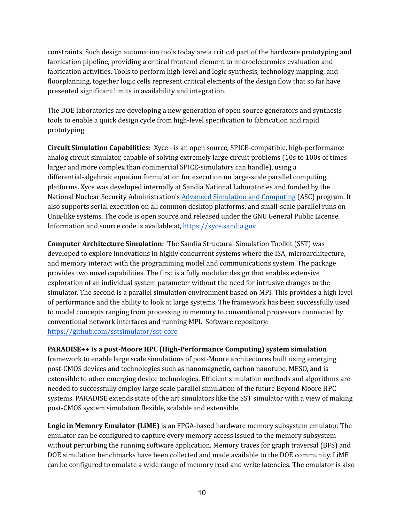constraints. Such design automation tools today are a critical part of the hardware prototyping and fabrication pipeline, providing a critical frontend element to microelectronics evaluation and fabrication activities. Tools to perform high-level and logic synthesis, technology mapping, and floorplanning, together logic cells represent critical elements of the design flow that so far have presented significant limits in availability and integration.

The DOE laboratories are developing a new generation of open source generators and synthesis tools to enable a quick design cycle from high-level specification to fabrication and rapid prototyping.

**Circuit Simulation Capabilities:** Xyce - is an open source, SPICE-compatible, high-performance analog circuit simulator, capable of solving extremely large circuit problems (10s to 100s of times larger and more complex than commercial SPICE-simulators can handle), using a differential-algebraic equation formulation for execution on large-scale parallel computing platforms. Xyce was developed internally at Sandia National Laboratories and funded by the National Nuclear Security Administration's Advanced Simulation and Computing (ASC) program. It also supports serial execution on all common desktop platforms, and small-scale parallel runs on Unix-like systems. The code is open source and released under the GNU General Public License. Information and source code is available at, https://xyce.sandia.gov

**Computer Architecture Simulation:** The Sandia Structural Simulation Toolkit (SST) was developed to explore innovations in highly concurrent systems where the ISA, microarchitecture, and memory interact with the programming model and communications system. The package provides two novel capabilities. The first is a fully modular design that enables extensive exploration of an individual system parameter without the need for intrusive changes to the simulator. The second is a parallel simulation environment based on MPI. This provides a high level of performance and the ability to look at large systems. The framework has been successfully used to model concepts ranging from processing in memory to conventional processors connected by conventional network interfaces and running MPI. Software repository: https://github.com/sstsimulator/sst-core

**PARADISE++ is a post-Moore HPC (High-Performance Computing) system simulation**

framework to enable large scale simulations of post-Moore architectures built using emerging post-CMOS devices and technologies such as nanomagnetic, carbon nanotube, MESO, and is extensible to other emerging device technologies. Efficient simulation methods and algorithms are needed to successfully employ large scale parallel simulation of the future Beyond Moore HPC systems. PARADISE extends state of the art simulators like the SST simulator with a view of making post-CMOS system simulation flexible, scalable and extensible.

**Logic in Memory Emulator (LiME)** is an FPGA-based hardware memory subsystem emulator. The emulator can be configured to capture every memory access issued to the memory subsystem without perturbing the running software application. Memory traces for graph traversal (BFS) and DOE simulation benchmarks have been collected and made available to the DOE community. LiME can be configured to emulate a wide range of memory read and write latencies. The emulator is also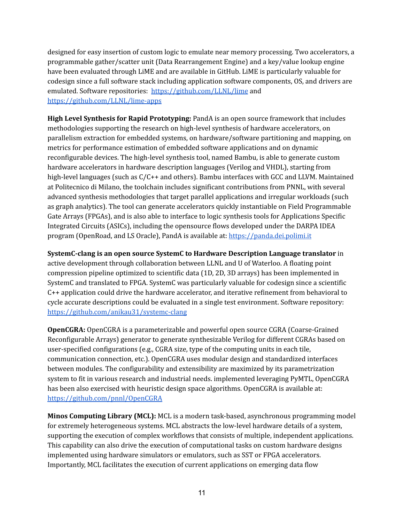designed for easy insertion of custom logic to emulate near memory processing. Two accelerators, a programmable gather/scatter unit (Data Rearrangement Engine) and a key/value lookup engine have been evaluated through LiME and are available in GitHub. LiME is particularly valuable for codesign since a full software stack including application software components, OS, and drivers are emulated. Software repositories: https://github.com/LLNL/lime and https://github.com/LLNL/lime-apps

**High Level Synthesis for Rapid Prototyping:** PandA is an open source framework that includes methodologies supporting the research on high-level synthesis of hardware accelerators, on parallelism extraction for embedded systems, on hardware/software partitioning and mapping, on metrics for performance estimation of embedded software applications and on dynamic reconfigurable devices. The high-level synthesis tool, named Bambu, is able to generate custom hardware accelerators in hardware description languages (Verilog and VHDL), starting from high-level languages (such as  $C/C++$  and others). Bambu interfaces with GCC and LLVM. Maintained at Politecnico di Milano, the toolchain includes significant contributions from PNNL, with several advanced synthesis methodologies that target parallel applications and irregular workloads (such as graph analytics). The tool can generate accelerators quickly instantiable on Field Programmable Gate Arrays (FPGAs), and is also able to interface to logic synthesis tools for Applications Specific Integrated Circuits (ASICs), including the opensource flows developed under the DARPA IDEA program (OpenRoad, and LS Oracle), PandA is available at: https://panda.dei.polimi.it

**SystemC-clang is an open source SystemC to Hardware Description Language translator** in active development through collaboration between LLNL and U of Waterloo. A floating point compression pipeline optimized to scientific data (1D, 2D, 3D arrays) has been implemented in SystemC and translated to FPGA. SystemC was particularly valuable for codesign since a scientific C++ application could drive the hardware accelerator, and iterative refinement from behavioral to cycle accurate descriptions could be evaluated in a single test environment. Software repository: https://github.com/anikau31/systemc-clang

**OpenCGRA:** OpenCGRA is a parameterizable and powerful open source CGRA (Coarse-Grained Reconfigurable Arrays) generator to generate synthesizable Verilog for different CGRAs based on user-specified configurations (e.g., CGRA size, type of the computing units in each tile, communication connection, etc.). OpenCGRA uses modular design and standardized interfaces between modules. The configurability and extensibility are maximized by its parametrization system to fit in various research and industrial needs. implemented leveraging PyMTL, OpenCGRA has been also exercised with heuristic design space algorithms. OpenCGRA is available at: https://github.com/pnnl/OpenCGRA

**Minos Computing Library (MCL):** MCL is a modern task-based, asynchronous programming model for extremely heterogeneous systems. MCL abstracts the low-level hardware details of a system, supporting the execution of complex workflows that consists of multiple, independent applications. This capability can also drive the execution of computational tasks on custom hardware designs implemented using hardware simulators or emulators, such as SST or FPGA accelerators. Importantly, MCL facilitates the execution of current applications on emerging data flow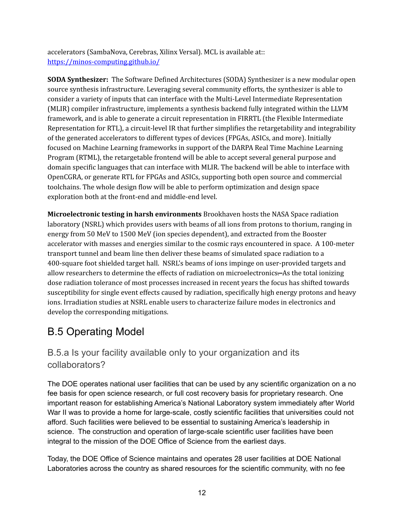accelerators (SambaNova, Cerebras, Xilinx Versal). MCL is available at:: https://minos-computing.github.io/

**SODA Synthesizer:** The Software Defined Architectures (SODA) Synthesizer is a new modular open source synthesis infrastructure. Leveraging several community efforts, the synthesizer is able to consider a variety of inputs that can interface with the Multi-Level Intermediate Representation (MLIR) compiler infrastructure, implements a synthesis backend fully integrated within the LLVM framework, and is able to generate a circuit representation in FIRRTL (the Flexible Intermediate Representation for RTL), a circuit-level IR that further simplifies the retargetability and integrability of the generated accelerators to different types of devices (FPGAs, ASICs, and more). Initially focused on Machine Learning frameworks in support of the DARPA Real Time Machine Learning Program (RTML), the retargetable frontend will be able to accept several general purpose and domain specific languages that can interface with MLIR. The backend will be able to interface with OpenCGRA, or generate RTL for FPGAs and ASICs, supporting both open source and commercial toolchains. The whole design flow will be able to perform optimization and design space exploration both at the front-end and middle-end level.

**Microelectronic testing in harsh environments** Brookhaven hosts the NASA Space radiation laboratory (NSRL) which provides users with beams of all ions from protons to thorium, ranging in energy from 50 MeV to 1500 MeV (ion species dependent), and extracted from the Booster accelerator with masses and energies similar to the cosmic rays encountered in space. A 100-meter transport tunnel and beam line then deliver these beams of simulated space radiation to a 400-square foot shielded target hall. NSRL's beams of ions impinge on user-provided targets and allow researchers to determine the effects of radiation on microelectronics. As the total ionizing dose radiation tolerance of most processes increased in recent years the focus has shifted towards susceptibility for single event effects caused by radiation, specifically high energy protons and heavy ions. Irradiation studies at NSRL enable users to characterize failure modes in electronics and develop the corresponding mitigations.

### B.5 Operating Model

#### B.5.a Is your facility available only to your organization and its collaborators?

The DOE operates national user facilities that can be used by any scientific organization on a no fee basis for open science research, or full cost recovery basis for proprietary research. One important reason for establishing America's National Laboratory system immediately after World War II was to provide a home for large-scale, costly scientific facilities that universities could not afford. Such facilities were believed to be essential to sustaining America's leadership in science. The construction and operation of large-scale scientific user facilities have been integral to the mission of the DOE Office of Science from the earliest days.

Today, the DOE Office of Science maintains and operates 28 user facilities at DOE National Laboratories across the country as shared resources for the scientific community, with no fee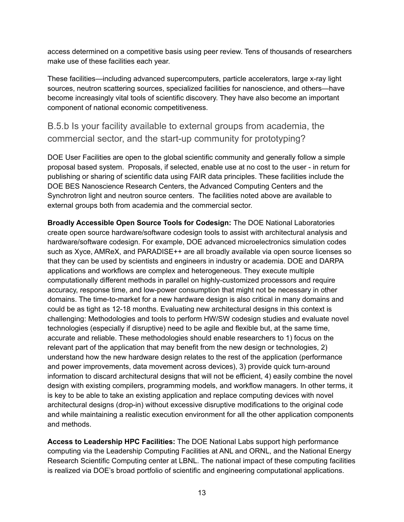access determined on a competitive basis using peer review. Tens of thousands of researchers make use of these facilities each year.

These facilities—including advanced supercomputers, particle accelerators, large x-ray light sources, neutron scattering sources, specialized facilities for nanoscience, and others—have become increasingly vital tools of scientific discovery. They have also become an important component of national economic competitiveness.

#### B.5.b Is your facility available to external groups from academia, the commercial sector, and the start-up community for prototyping?

DOE User Facilities are open to the global scientific community and generally follow a simple proposal based system. Proposals, if selected, enable use at no cost to the user - in return for publishing or sharing of scientific data using FAIR data principles. These facilities include the DOE BES Nanoscience Research Centers, the Advanced Computing Centers and the Synchrotron light and neutron source centers. The facilities noted above are available to external groups both from academia and the commercial sector.

**Broadly Accessible Open Source Tools for Codesign:** The DOE National Laboratories create open source hardware/software codesign tools to assist with architectural analysis and hardware/software codesign. For example, DOE advanced microelectronics simulation codes such as Xyce, AMReX, and PARADISE++ are all broadly available via open source licenses so that they can be used by scientists and engineers in industry or academia. DOE and DARPA applications and workflows are complex and heterogeneous. They execute multiple computationally different methods in parallel on highly-customized processors and require accuracy, response time, and low-power consumption that might not be necessary in other domains. The time-to-market for a new hardware design is also critical in many domains and could be as tight as 12-18 months. Evaluating new architectural designs in this context is challenging: Methodologies and tools to perform HW/SW codesign studies and evaluate novel technologies (especially if disruptive) need to be agile and flexible but, at the same time, accurate and reliable. These methodologies should enable researchers to 1) focus on the relevant part of the application that may benefit from the new design or technologies, 2) understand how the new hardware design relates to the rest of the application (performance and power improvements, data movement across devices), 3) provide quick turn-around information to discard architectural designs that will not be efficient, 4) easily combine the novel design with existing compilers, programming models, and workflow managers. In other terms, it is key to be able to take an existing application and replace computing devices with novel architectural designs (drop-in) without excessive disruptive modifications to the original code and while maintaining a realistic execution environment for all the other application components and methods.

**Access to Leadership HPC Facilities:** The DOE National Labs support high performance computing via the Leadership Computing Facilities at ANL and ORNL, and the National Energy Research Scientific Computing center at LBNL. The national impact of these computing facilities is realized via DOE's broad portfolio of scientific and engineering computational applications.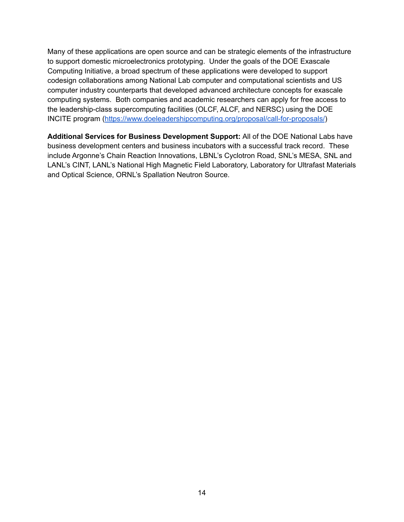Many of these applications are open source and can be strategic elements of the infrastructure to support domestic microelectronics prototyping. Under the goals of the DOE Exascale Computing Initiative, a broad spectrum of these applications were developed to support codesign collaborations among National Lab computer and computational scientists and US computer industry counterparts that developed advanced architecture concepts for exascale computing systems. Both companies and academic researchers can apply for free access to the leadership-class supercomputing facilities (OLCF, ALCF, and NERSC) using the DOE INCITE program (https://www.doeleadershipcomputing.org/proposal/call-for-proposals/)

**Additional Services for Business Development Support:** All of the DOE National Labs have business development centers and business incubators with a successful track record. These include Argonne's Chain Reaction Innovations, LBNL's Cyclotron Road, SNL's MESA, SNL and LANL's CINT, LANL's National High Magnetic Field Laboratory, Laboratory for Ultrafast Materials and Optical Science, ORNL's Spallation Neutron Source.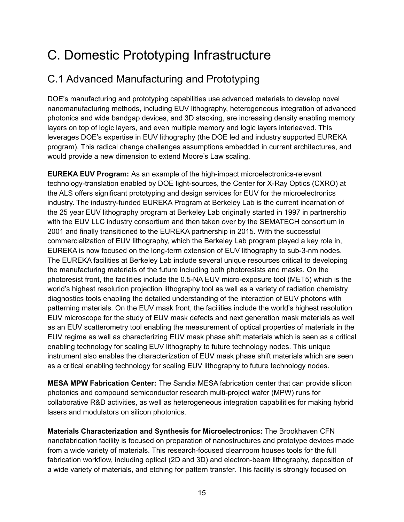# C. Domestic Prototyping Infrastructure

# C.1 Advanced Manufacturing and Prototyping

DOE's manufacturing and prototyping capabilities use advanced materials to develop novel nanomanufacturing methods, including EUV lithography, heterogeneous integration of advanced photonics and wide bandgap devices, and 3D stacking, are increasing density enabling memory layers on top of logic layers, and even multiple memory and logic layers interleaved. This leverages DOE's expertise in EUV lithography (the DOE led and industry supported EUREKA program). This radical change challenges assumptions embedded in current architectures, and would provide a new dimension to extend Moore's Law scaling.

**EUREKA EUV Program:** As an example of the high-impact microelectronics-relevant technology-translation enabled by DOE light-sources, the Center for X-Ray Optics (CXRO) at the ALS offers significant prototyping and design services for EUV for the microelectronics industry. The industry-funded EUREKA Program at Berkeley Lab is the current incarnation of the 25 year EUV lithography program at Berkeley Lab originally started in 1997 in partnership with the EUV LLC industry consortium and then taken over by the SEMATECH consortium in 2001 and finally transitioned to the EUREKA partnership in 2015. With the successful commercialization of EUV lithography, which the Berkeley Lab program played a key role in, EUREKA is now focused on the long-term extension of EUV lithography to sub-3-nm nodes. The EUREKA facilities at Berkeley Lab include several unique resources critical to developing the manufacturing materials of the future including both photoresists and masks. On the photoresist front, the facilities include the 0.5-NA EUV micro-exposure tool (MET5) which is the world's highest resolution projection lithography tool as well as a variety of radiation chemistry diagnostics tools enabling the detailed understanding of the interaction of EUV photons with patterning materials. On the EUV mask front, the facilities include the world's highest resolution EUV microscope for the study of EUV mask defects and next generation mask materials as well as an EUV scatterometry tool enabling the measurement of optical properties of materials in the EUV regime as well as characterizing EUV mask phase shift materials which is seen as a critical enabling technology for scaling EUV lithography to future technology nodes. This unique instrument also enables the characterization of EUV mask phase shift materials which are seen as a critical enabling technology for scaling EUV lithography to future technology nodes.

**MESA MPW Fabrication Center:** The Sandia MESA fabrication center that can provide silicon photonics and compound semiconductor research multi-project wafer (MPW) runs for collaborative R&D activities, as well as heterogeneous integration capabilities for making hybrid lasers and modulators on silicon photonics.

**Materials Characterization and Synthesis for Microelectronics:** The Brookhaven CFN nanofabrication facility is focused on preparation of nanostructures and prototype devices made from a wide variety of materials. This research-focused cleanroom houses tools for the full fabrication workflow, including optical (2D and 3D) and electron-beam lithography, deposition of a wide variety of materials, and etching for pattern transfer. This facility is strongly focused on